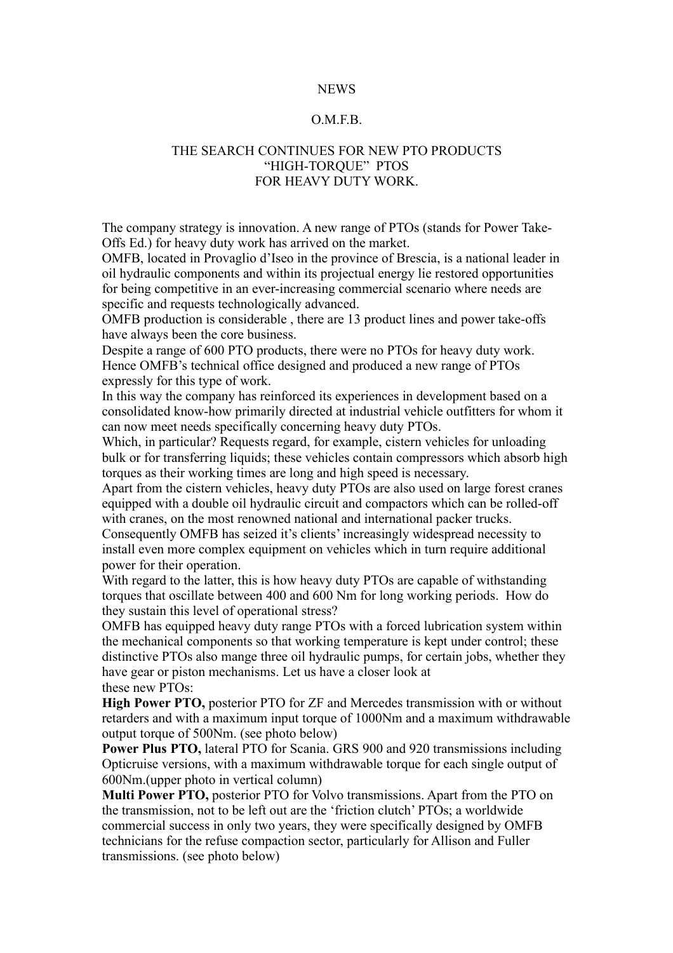## NEWS

## O.M.F.B.

## THE SEARCH CONTINUES FOR NEW PTO PRODUCTS "HIGH-TORQUE" PTOS FOR HEAVY DUTY WORK.

The company strategy is innovation. A new range of PTOs (stands for Power Take-Offs Ed.) for heavy duty work has arrived on the market.

OMFB, located in Provaglio d'Iseo in the province of Brescia, is a national leader in oil hydraulic components and within its projectual energy lie restored opportunities for being competitive in an ever-increasing commercial scenario where needs are specific and requests technologically advanced.

OMFB production is considerable , there are 13 product lines and power take-offs have always been the core business.

Despite a range of 600 PTO products, there were no PTOs for heavy duty work. Hence OMFB's technical office designed and produced a new range of PTOs expressly for this type of work.

In this way the company has reinforced its experiences in development based on a consolidated know-how primarily directed at industrial vehicle outfitters for whom it can now meet needs specifically concerning heavy duty PTOs.

Which, in particular? Requests regard, for example, cistern vehicles for unloading bulk or for transferring liquids; these vehicles contain compressors which absorb high torques as their working times are long and high speed is necessary.

Apart from the cistern vehicles, heavy duty PTOs are also used on large forest cranes equipped with a double oil hydraulic circuit and compactors which can be rolled-off with cranes, on the most renowned national and international packer trucks.

Consequently OMFB has seized it's clients' increasingly widespread necessity to install even more complex equipment on vehicles which in turn require additional power for their operation.

With regard to the latter, this is how heavy duty PTOs are capable of withstanding torques that oscillate between 400 and 600 Nm for long working periods. How do they sustain this level of operational stress?

OMFB has equipped heavy duty range PTOs with a forced lubrication system within the mechanical components so that working temperature is kept under control; these distinctive PTOs also mange three oil hydraulic pumps, for certain jobs, whether they have gear or piston mechanisms. Let us have a closer look at these new PTOs:

**High Power PTO,** posterior PTO for ZF and Mercedes transmission with or without retarders and with a maximum input torque of 1000Nm and a maximum withdrawable output torque of 500Nm. (see photo below)

**Power Plus PTO,** lateral PTO for Scania. GRS 900 and 920 transmissions including Opticruise versions, with a maximum withdrawable torque for each single output of 600Nm.(upper photo in vertical column)

**Multi Power PTO,** posterior PTO for Volvo transmissions. Apart from the PTO on the transmission, not to be left out are the 'friction clutch' PTOs; a worldwide commercial success in only two years, they were specifically designed by OMFB technicians for the refuse compaction sector, particularly for Allison and Fuller transmissions. (see photo below)